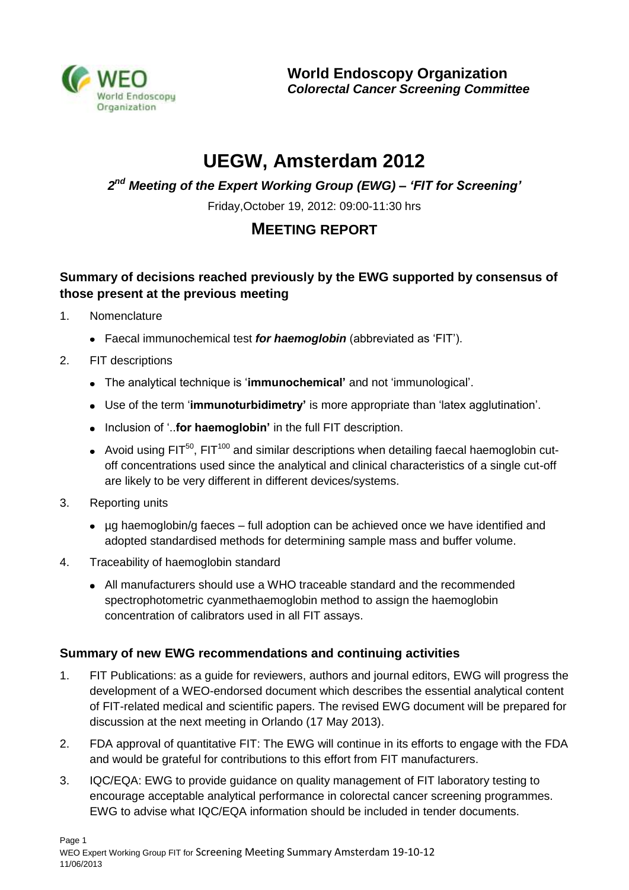

# **UEGW, Amsterdam 2012**

*2 nd Meeting of the Expert Working Group (EWG) – 'FIT for Screening'*

Friday,October 19, 2012: 09:00-11:30 hrs

# **MEETING REPORT**

# **Summary of decisions reached previously by the EWG supported by consensus of those present at the previous meeting**

- 1. Nomenclature
	- Faecal immunochemical test *for haemoglobin* (abbreviated as 'FIT').
- 2. FIT descriptions
	- The analytical technique is '**immunochemical'** and not 'immunological'.
	- Use of the term '**immunoturbidimetry'** is more appropriate than 'latex agglutination'.
	- Inclusion of '..**for haemoglobin'** in the full FIT description.
	- Avoid using  $FIT^{50}$ ,  $FIT^{100}$  and similar descriptions when detailing faecal haemoglobin cutoff concentrations used since the analytical and clinical characteristics of a single cut-off are likely to be very different in different devices/systems.
- 3. Reporting units
	- µg haemoglobin/g faeces full adoption can be achieved once we have identified and adopted standardised methods for determining sample mass and buffer volume.
- 4. Traceability of haemoglobin standard
	- All manufacturers should use a WHO traceable standard and the recommended spectrophotometric cyanmethaemoglobin method to assign the haemoglobin concentration of calibrators used in all FIT assays.

# **Summary of new EWG recommendations and continuing activities**

- 1. FIT Publications: as a guide for reviewers, authors and journal editors, EWG will progress the development of a WEO-endorsed document which describes the essential analytical content of FIT-related medical and scientific papers. The revised EWG document will be prepared for discussion at the next meeting in Orlando (17 May 2013).
- 2. FDA approval of quantitative FIT: The EWG will continue in its efforts to engage with the FDA and would be grateful for contributions to this effort from FIT manufacturers.
- 3. IQC/EQA: EWG to provide guidance on quality management of FIT laboratory testing to encourage acceptable analytical performance in colorectal cancer screening programmes. EWG to advise what IQC/EQA information should be included in tender documents.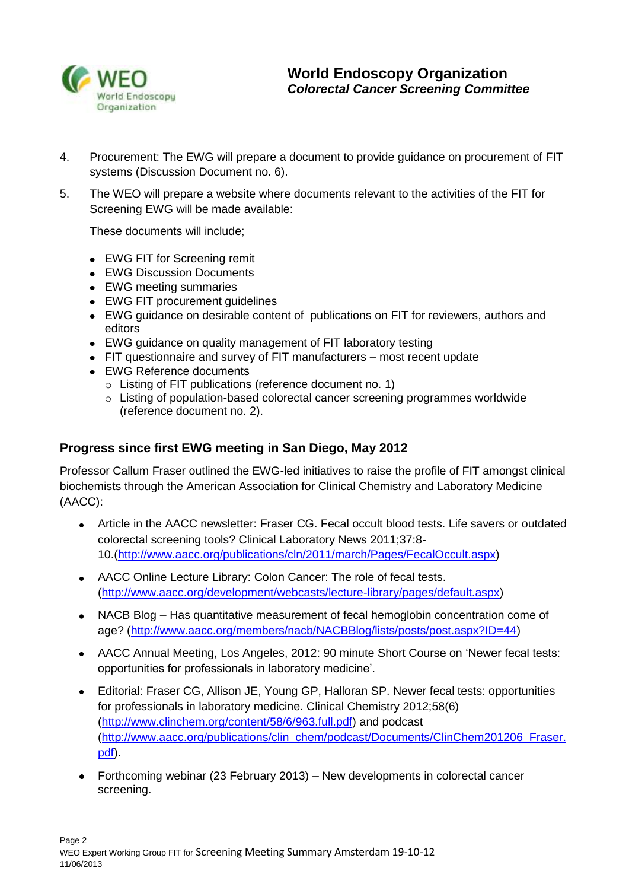

- 4. Procurement: The EWG will prepare a document to provide guidance on procurement of FIT systems (Discussion Document no. 6).
- 5. The WEO will prepare a website where documents relevant to the activities of the FIT for Screening EWG will be made available:

These documents will include;

- EWG FIT for Screening remit
- EWG Discussion Documents
- EWG meeting summaries
- EWG FIT procurement guidelines
- EWG guidance on desirable content of publications on FIT for reviewers, authors and editors
- EWG guidance on quality management of FIT laboratory testing
- FIT questionnaire and survey of FIT manufacturers most recent update
- EWG Reference documents
	- o Listing of FIT publications (reference document no. 1)
	- o Listing of population-based colorectal cancer screening programmes worldwide (reference document no. 2).

# **Progress since first EWG meeting in San Diego, May 2012**

Professor Callum Fraser outlined the EWG-led initiatives to raise the profile of FIT amongst clinical biochemists through the American Association for Clinical Chemistry and Laboratory Medicine (AACC):

- Article in the AACC newsletter: Fraser CG. Fecal occult blood tests. Life savers or outdated colorectal screening tools? Clinical Laboratory News 2011;37:8- 10.[\(http://www.aacc.org/publications/cln/2011/march/Pages/FecalOccult.aspx\)](http://www.aacc.org/publications/cln/2011/march/Pages/FecalOccult.aspx)
- AACC Online Lecture Library: Colon Cancer: The role of fecal tests. [\(http://www.aacc.org/development/webcasts/lecture-library/pages/default.aspx\)](http://www.aacc.org/development/webcasts/lecture-library/pages/default.aspx)
- $\bullet$ NACB Blog – Has quantitative measurement of fecal hemoglobin concentration come of age? [\(http://www.aacc.org/members/nacb/NACBBlog/lists/posts/post.aspx?ID=44\)](http://www.aacc.org/members/nacb/NACBBlog/lists/posts/post.aspx?ID=44)
- AACC Annual Meeting, Los Angeles, 2012: 90 minute Short Course on 'Newer fecal tests: opportunities for professionals in laboratory medicine'.
- Editorial: Fraser CG, Allison JE, Young GP, Halloran SP. Newer fecal tests: opportunities  $\bullet$ for professionals in laboratory medicine. Clinical Chemistry 2012;58(6) [\(http://www.clinchem.org/content/58/6/963.full.pdf\)](http://www.clinchem.org/content/58/6/963.full.pdf) and podcast [\(http://www.aacc.org/publications/clin\\_chem/podcast/Documents/ClinChem201206\\_Fraser.](http://www.aacc.org/publications/clin_chem/podcast/Documents/ClinChem201206_Fraser.pdf) [pdf\)](http://www.aacc.org/publications/clin_chem/podcast/Documents/ClinChem201206_Fraser.pdf).
- Forthcoming webinar (23 February 2013) New developments in colorectal cancer screening.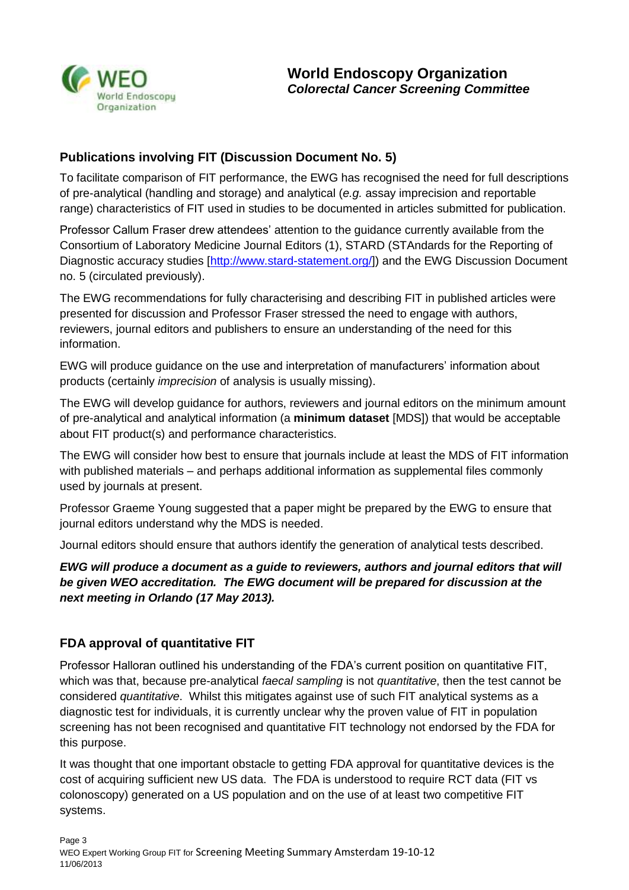

# **Publications involving FIT (Discussion Document No. 5)**

To facilitate comparison of FIT performance, the EWG has recognised the need for full descriptions of pre-analytical (handling and storage) and analytical (*e.g.* assay imprecision and reportable range) characteristics of FIT used in studies to be documented in articles submitted for publication.

Professor Callum Fraser drew attendees' attention to the guidance currently available from the Consortium of Laboratory Medicine Journal Editors (1), STARD (STAndards for the Reporting of Diagnostic accuracy studies [\[http://www.stard-statement.org/\]](http://www.stard-statement.org/)) and the EWG Discussion Document no. 5 (circulated previously).

The EWG recommendations for fully characterising and describing FIT in published articles were presented for discussion and Professor Fraser stressed the need to engage with authors, reviewers, journal editors and publishers to ensure an understanding of the need for this information.

EWG will produce guidance on the use and interpretation of manufacturers' information about products (certainly *imprecision* of analysis is usually missing).

The EWG will develop guidance for authors, reviewers and journal editors on the minimum amount of pre-analytical and analytical information (a **minimum dataset** [MDS]) that would be acceptable about FIT product(s) and performance characteristics.

The EWG will consider how best to ensure that journals include at least the MDS of FIT information with published materials – and perhaps additional information as supplemental files commonly used by journals at present.

Professor Graeme Young suggested that a paper might be prepared by the EWG to ensure that journal editors understand why the MDS is needed.

Journal editors should ensure that authors identify the generation of analytical tests described.

*EWG will produce a document as a guide to reviewers, authors and journal editors that will be given WEO accreditation. The EWG document will be prepared for discussion at the next meeting in Orlando (17 May 2013).*

# **FDA approval of quantitative FIT**

Professor Halloran outlined his understanding of the FDA's current position on quantitative FIT, which was that, because pre-analytical *faecal sampling* is not *quantitative*, then the test cannot be considered *quantitative*. Whilst this mitigates against use of such FIT analytical systems as a diagnostic test for individuals, it is currently unclear why the proven value of FIT in population screening has not been recognised and quantitative FIT technology not endorsed by the FDA for this purpose.

It was thought that one important obstacle to getting FDA approval for quantitative devices is the cost of acquiring sufficient new US data. The FDA is understood to require RCT data (FIT vs colonoscopy) generated on a US population and on the use of at least two competitive FIT systems.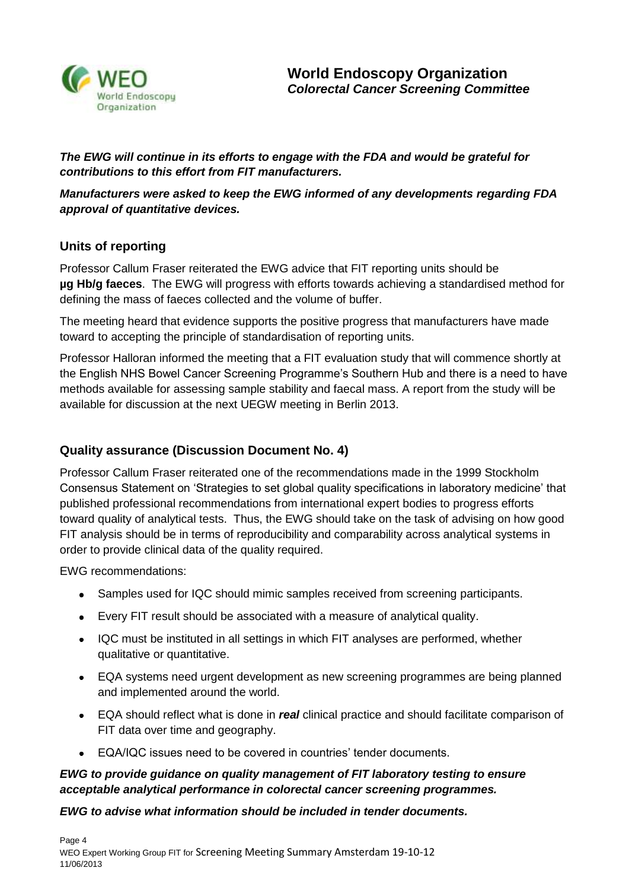

*The EWG will continue in its efforts to engage with the FDA and would be grateful for contributions to this effort from FIT manufacturers.* 

*Manufacturers were asked to keep the EWG informed of any developments regarding FDA approval of quantitative devices.*

# **Units of reporting**

Professor Callum Fraser reiterated the EWG advice that FIT reporting units should be **µg Hb/g faeces**. The EWG will progress with efforts towards achieving a standardised method for defining the mass of faeces collected and the volume of buffer.

The meeting heard that evidence supports the positive progress that manufacturers have made toward to accepting the principle of standardisation of reporting units.

Professor Halloran informed the meeting that a FIT evaluation study that will commence shortly at the English NHS Bowel Cancer Screening Programme's Southern Hub and there is a need to have methods available for assessing sample stability and faecal mass. A report from the study will be available for discussion at the next UEGW meeting in Berlin 2013.

# **Quality assurance (Discussion Document No. 4)**

Professor Callum Fraser reiterated one of the recommendations made in the 1999 Stockholm Consensus Statement on 'Strategies to set global quality specifications in laboratory medicine' that published professional recommendations from international expert bodies to progress efforts toward quality of analytical tests. Thus, the EWG should take on the task of advising on how good FIT analysis should be in terms of reproducibility and comparability across analytical systems in order to provide clinical data of the quality required.

EWG recommendations:

- Samples used for IQC should mimic samples received from screening participants.
- Every FIT result should be associated with a measure of analytical quality.
- IQC must be instituted in all settings in which FIT analyses are performed, whether qualitative or quantitative.
- EQA systems need urgent development as new screening programmes are being planned and implemented around the world.
- EQA should reflect what is done in *real* clinical practice and should facilitate comparison of FIT data over time and geography.
- EQA/IQC issues need to be covered in countries' tender documents.

#### *EWG to provide guidance on quality management of FIT laboratory testing to ensure acceptable analytical performance in colorectal cancer screening programmes.*

#### *EWG to advise what information should be included in tender documents.*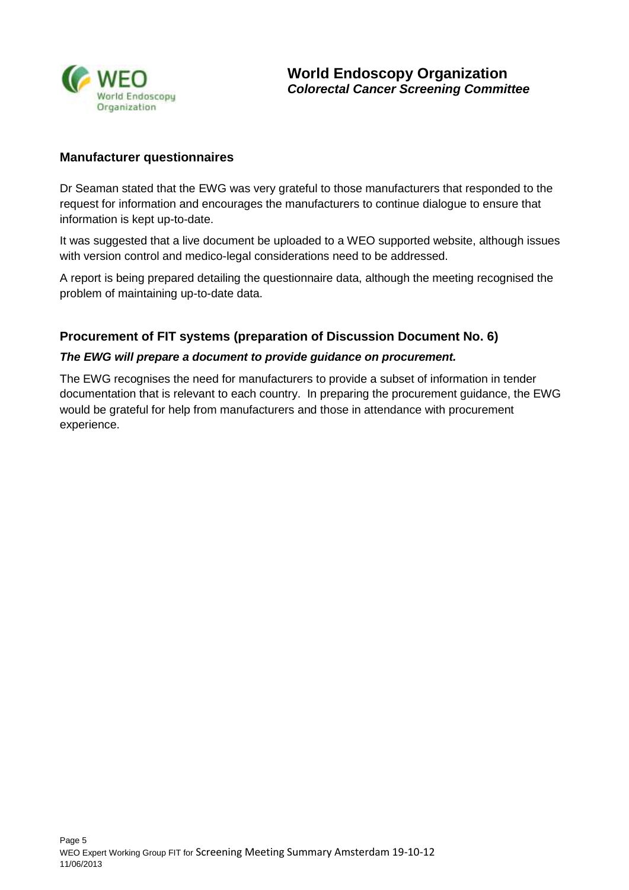

#### **Manufacturer questionnaires**

Dr Seaman stated that the EWG was very grateful to those manufacturers that responded to the request for information and encourages the manufacturers to continue dialogue to ensure that information is kept up-to-date.

It was suggested that a live document be uploaded to a WEO supported website, although issues with version control and medico-legal considerations need to be addressed.

A report is being prepared detailing the questionnaire data, although the meeting recognised the problem of maintaining up-to-date data.

#### **Procurement of FIT systems (preparation of Discussion Document No. 6)**

#### *The EWG will prepare a document to provide guidance on procurement.*

The EWG recognises the need for manufacturers to provide a subset of information in tender documentation that is relevant to each country. In preparing the procurement guidance, the EWG would be grateful for help from manufacturers and those in attendance with procurement experience.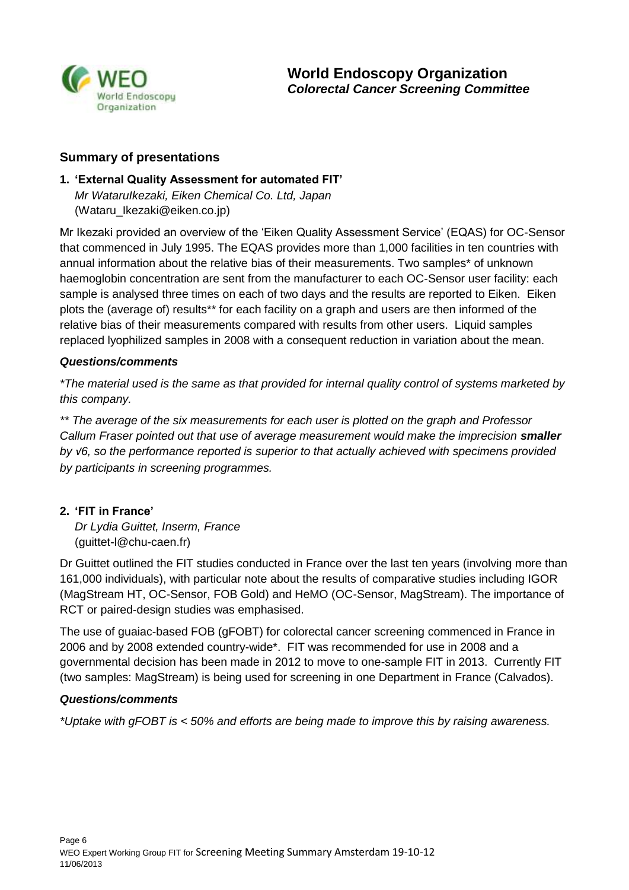

#### **Summary of presentations**

#### **1. 'External Quality Assessment for automated FIT'**

*Mr WataruIkezaki, Eiken Chemical Co. Ltd, Japan* [\(Wataru\\_Ikezaki@eiken.co.jp\)](mailto:Wataru_Ikezaki@eiken.co.jp)

Mr Ikezaki provided an overview of the 'Eiken Quality Assessment Service' (EQAS) for OC-Sensor that commenced in July 1995. The EQAS provides more than 1,000 facilities in ten countries with annual information about the relative bias of their measurements. Two samples\* of unknown haemoglobin concentration are sent from the manufacturer to each OC-Sensor user facility: each sample is analysed three times on each of two days and the results are reported to Eiken. Eiken plots the (average of) results\*\* for each facility on a graph and users are then informed of the relative bias of their measurements compared with results from other users. Liquid samples replaced lyophilized samples in 2008 with a consequent reduction in variation about the mean.

#### *Questions/comments*

*\*The material used is the same as that provided for internal quality control of systems marketed by this company.*

*\*\* The average of the six measurements for each user is plotted on the graph and Professor*  Callum Fraser pointed out that use of average measurement would make the imprecision *smaller by √6, so the performance reported is superior to that actually achieved with specimens provided by participants in screening programmes.* 

#### **2. 'FIT in France'**

*Dr Lydia Guittet, Inserm, France* [\(guittet-l@chu-caen.fr\)](mailto:guittet-l@chu-caen.fr)

Dr Guittet outlined the FIT studies conducted in France over the last ten years (involving more than 161,000 individuals), with particular note about the results of comparative studies including IGOR (MagStream HT, OC-Sensor, FOB Gold) and HeMO (OC-Sensor, MagStream). The importance of RCT or paired-design studies was emphasised.

The use of guaiac-based FOB (gFOBT) for colorectal cancer screening commenced in France in 2006 and by 2008 extended country-wide\*. FIT was recommended for use in 2008 and a governmental decision has been made in 2012 to move to one-sample FIT in 2013. Currently FIT (two samples: MagStream) is being used for screening in one Department in France (Calvados).

#### *Questions/comments*

*\*Uptake with gFOBT is < 50% and efforts are being made to improve this by raising awareness.*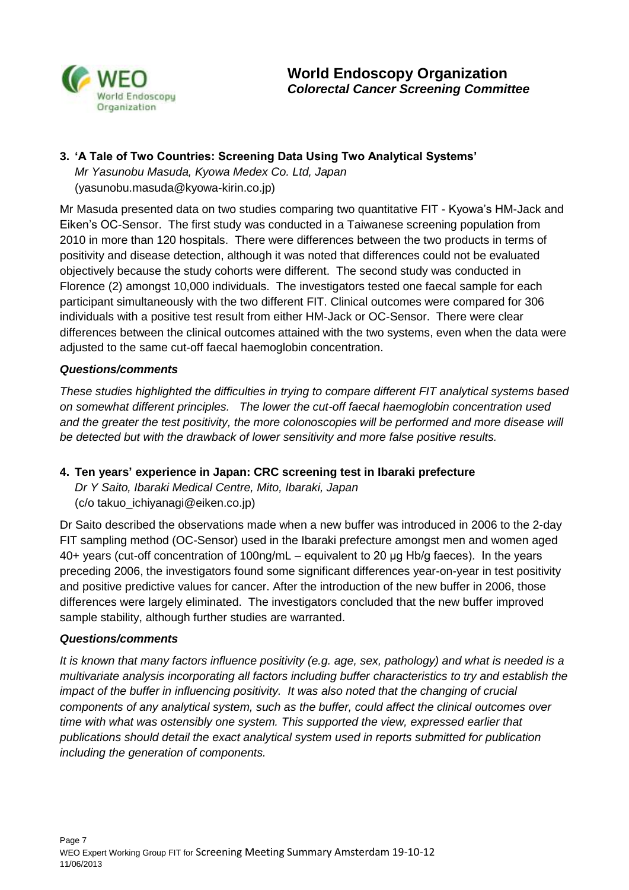

#### **3. 'A Tale of Two Countries: Screening Data Using Two Analytical Systems'**

*Mr Yasunobu Masuda, Kyowa Medex Co. Ltd, Japan* [\(yasunobu.masuda@kyowa-kirin.co.jp\)](mailto:yasunobu.masuda@kyowa-kirin.co.jp)

Mr Masuda presented data on two studies comparing two quantitative FIT - Kyowa's HM-Jack and Eiken's OC-Sensor. The first study was conducted in a Taiwanese screening population from 2010 in more than 120 hospitals. There were differences between the two products in terms of positivity and disease detection, although it was noted that differences could not be evaluated objectively because the study cohorts were different. The second study was conducted in Florence (2) amongst 10,000 individuals. The investigators tested one faecal sample for each participant simultaneously with the two different FIT. Clinical outcomes were compared for 306 individuals with a positive test result from either HM-Jack or OC-Sensor. There were clear differences between the clinical outcomes attained with the two systems, even when the data were adjusted to the same cut-off faecal haemoglobin concentration.

#### *Questions/comments*

*These studies highlighted the difficulties in trying to compare different FIT analytical systems based on somewhat different principles. The lower the cut-off faecal haemoglobin concentration used*  and the greater the test positivity, the more colonoscopies will be performed and more disease will *be detected but with the drawback of lower sensitivity and more false positive results.*

#### **4. Ten years' experience in Japan: CRC screening test in Ibaraki prefecture**

*Dr Y Saito, Ibaraki Medical Centre, Mito, Ibaraki, Japan* (c/o [takuo\\_ichiyanagi@eiken.co.jp\)](mailto:takuo_ichiyanagi@eiken.co.jp)

Dr Saito described the observations made when a new buffer was introduced in 2006 to the 2-day FIT sampling method (OC-Sensor) used in the Ibaraki prefecture amongst men and women aged 40+ years (cut-off concentration of 100ng/mL – equivalent to 20 μg Hb/g faeces). In the years preceding 2006, the investigators found some significant differences year-on-year in test positivity and positive predictive values for cancer. After the introduction of the new buffer in 2006, those differences were largely eliminated. The investigators concluded that the new buffer improved sample stability, although further studies are warranted.

#### *Questions/comments*

*It is known that many factors influence positivity (e.g. age, sex, pathology) and what is needed is a multivariate analysis incorporating all factors including buffer characteristics to try and establish the impact of the buffer in influencing positivity. It was also noted that the changing of crucial components of any analytical system, such as the buffer, could affect the clinical outcomes over time with what was ostensibly one system. This supported the view, expressed earlier that publications should detail the exact analytical system used in reports submitted for publication including the generation of components.*